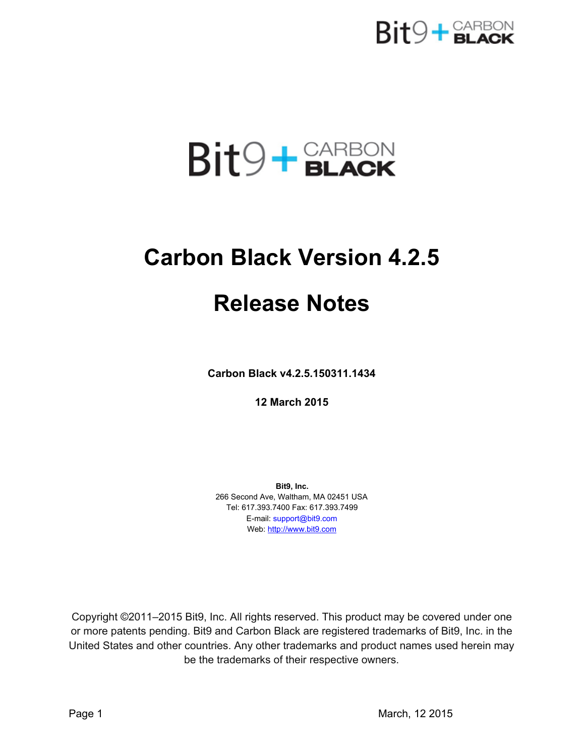

# $Bit9 + **GLACK**$

## **Carbon Black Version 4.2.5**

## **Release Notes**

**Carbon Black v4.2.5.150311.1434**

**12 March 2015**

**Bit9, Inc.** 266 Second Ave, Waltham, MA 02451 USA Tel: 617.393.7400 Fax: 617.393.7499 E-mail: support@bit9.com Web: [http://www.bit9.com](http://www.bit9.com/)

Copyright ©2011–2015 Bit9, Inc. All rights reserved. This product may be covered under one or more patents pending. Bit9 and Carbon Black are registered trademarks of Bit9, Inc. in the United States and other countries. Any other trademarks and product names used herein may be the trademarks of their respective owners.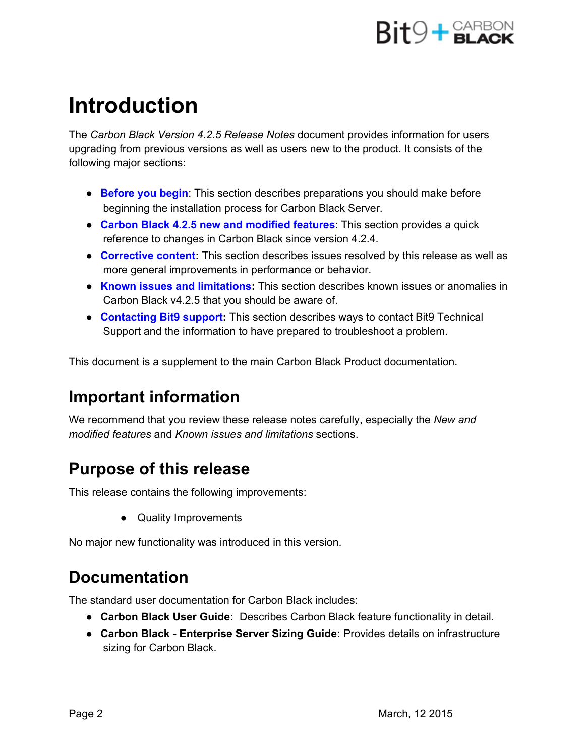

## **Introduction**

The *Carbon Black Version 4.2.5 Release Notes* document provides information for users upgrading from previous versions as well as users new to the product. It consists of the following major sections:

- **Before you begin**: This section describes preparations you should make before beginning the installation process for Carbon Black Server.
- **Carbon Black 4.2.5 new and modified features**: This section provides a quick reference to changes in Carbon Black since version 4.2.4.
- **Corrective content:**This section describes issues resolved by this release as well as more general improvements in performance or behavior.
- **Known issues and limitations:**This section describes known issues or anomalies in Carbon Black v4.2.5 that you should be aware of.
- **Contacting Bit9 support:**This section describes ways to contact Bit9 Technical Support and the information to have prepared to troubleshoot a problem.

This document is a supplement to the main Carbon Black Product documentation.

### **Important information**

We recommend that you review these release notes carefully, especially the *New and modified features* and *Known issues and limitations* sections.

## **Purpose of this release**

This release contains the following improvements:

● Quality Improvements

No major new functionality was introduced in this version.

### **Documentation**

The standard user documentation for Carbon Black includes:

- **Carbon Black User Guide:** Describes Carbon Black feature functionality in detail.
- **Carbon Black Enterprise Server Sizing Guide:**Provides details on infrastructure sizing for Carbon Black.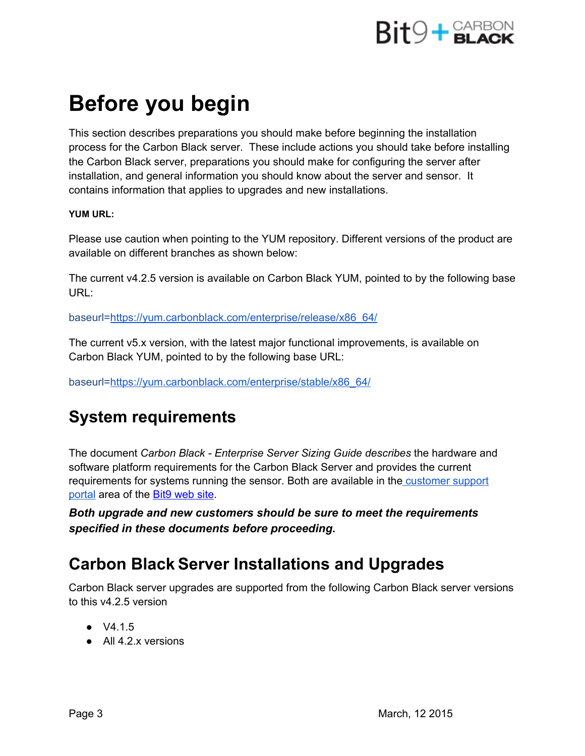

## **Before you begin**

This section describes preparations you should make before beginning the installation process for the Carbon Black server. These include actions you should take before installing the Carbon Black server, preparations you should make for configuring the server after installation, and general information you should know about the server and sensor. It contains information that applies to upgrades and new installations.

#### **YUM URL:**

Please use caution when pointing to the YUM repository. Different versions of the product are available on different branches as shown below[:](https://yum.carbonblack.com/enterprise/stable/x86_64/)

The current v4.2.5 version is available on Carbon Black YUM, pointed to by the following base URL:

baseurl[=https://yum.carbonblack.com/enterprise/release/x86\\_64/](https://yum.carbonblack.com/enterprise/stable/x86_64/)

The current v5.x version, with the latest major functional improvements, is available on Carbon Black YUM, pointed to by the following base URL:

baseurl[=https://yum.carbonblack.com/enterprise/stable/x86\\_64/](https://yum.carbonblack.com/enterprise/stable/x86_64/)

### **System requirements**

The document *Carbon Black Enterprise Server Sizing Guide describes* the hardware and software platform requirements for the Carbon Black Server and provides the current requirements for systems running the sensor. Both are available in the [customer](https://na6.salesforce.com/secur/login_portal.jsp?orgId=00D300000000S7D&portalId=06030000000D6OJ) support [portal](https://na6.salesforce.com/secur/login_portal.jsp?orgId=00D300000000S7D&portalId=06030000000D6OJ) area of th[e](http://www.bit9.com/) Bit9 [web](http://www.bit9.com/) site.

*Both upgrade and new customers should be sure to meet the requirements specified in these documents before proceeding.*

### **Carbon BlackServer Installations and Upgrades**

Carbon Black server upgrades are supported from the following Carbon Black server versions to this v4.2.5 version

- $\bullet$  V4.1.5
- All 4.2.x versions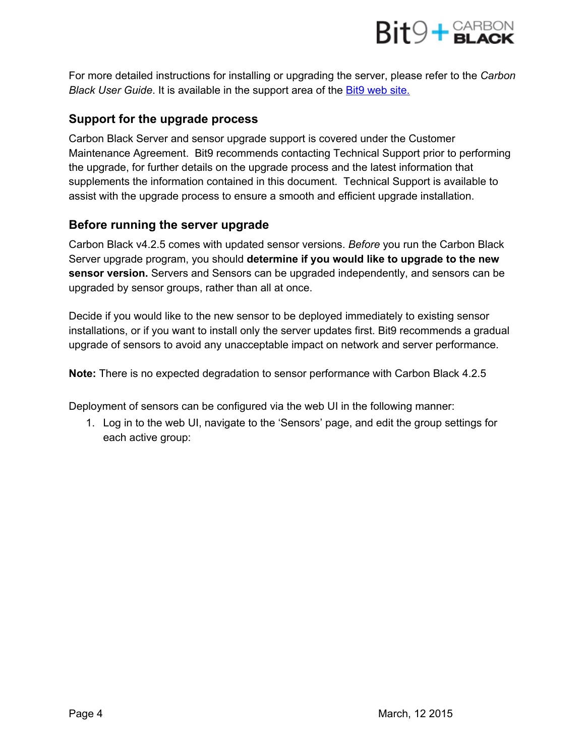

For more detailed instructions for installing or upgrading the server, please refer to the *Carbon Black User Guide*. It is available in the support area of th[e](http://www.bit9.com/) Bit9 [web](http://www.bit9.com/) site.

#### **Support for the upgrade process**

Carbon Black Server and sensor upgrade support is covered under the Customer Maintenance Agreement. Bit9 recommends contacting Technical Support prior to performing the upgrade, for further details on the upgrade process and the latest information that supplements the information contained in this document. Technical Support is available to assist with the upgrade process to ensure a smooth and efficient upgrade installation.

#### **Before running the server upgrade**

Carbon Black v4.2.5 comes with updated sensor versions. *Before* you run the Carbon Black Server upgrade program, you should **determine if you would like to upgrade to the new sensor version.** Servers and Sensors can be upgraded independently, and sensors can be upgraded by sensor groups, rather than all at once.

Decide if you would like to the new sensor to be deployed immediately to existing sensor installations, or if you want to install only the server updates first. Bit9 recommends a gradual upgrade of sensors to avoid any unacceptable impact on network and server performance.

**Note:**There is no expected degradation to sensor performance with Carbon Black 4.2.5

Deployment of sensors can be configured via the web UI in the following manner:

1. Log in to the web UI, navigate to the 'Sensors' page, and edit the group settings for each active group: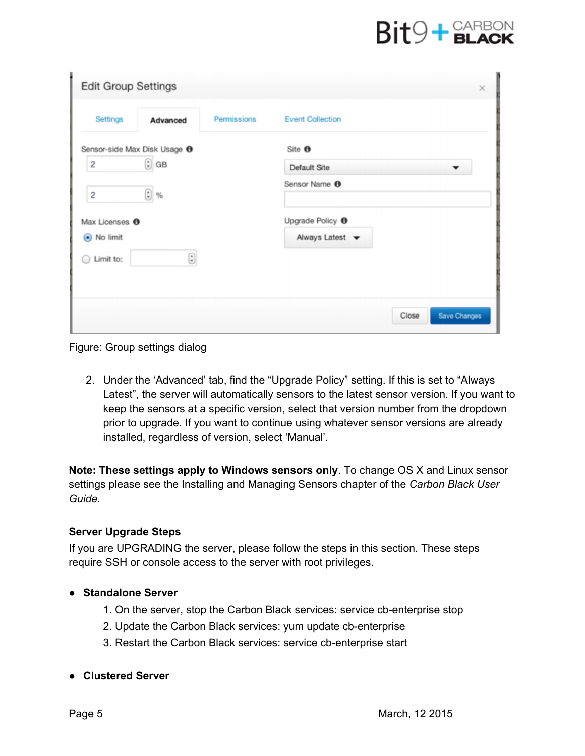## $Bit9 + **GLACK**$

| <b>Edit Group Settings</b>                 | $\times$                           |
|--------------------------------------------|------------------------------------|
| Permissions<br>Settings<br>Advanced        | <b>Event Collection</b>            |
| Sensor-side Max Disk Usage <sup>O</sup>    | Site <sup>O</sup>                  |
| $\odot$ GB<br>$\overline{\mathbf{c}}$      | Default Site                       |
| $\odot$ %<br>$\overline{\mathbf{c}}$       | Sensor Name <sup>O</sup>           |
| Max Licenses <sup>O</sup>                  | Upgrade Policy <sup>O</sup>        |
| ● No limit                                 | Always Latest $\blacktriangledown$ |
| $\textcircled{\scriptsize i}$<br>Limit to: |                                    |
|                                            | Save Changes<br>Close              |

Figure: Group settings dialog

2. Under the 'Advanced' tab, find the "Upgrade Policy" setting. If this is set to "Always Latest", the server will automatically sensors to the latest sensor version. If you want to keep the sensors at a specific version, select that version number from the dropdown prior to upgrade. If you want to continue using whatever sensor versions are already installed, regardless of version, select 'Manual'.

**Note:These settings apply to Windows sensors only**. To change OS X and Linux sensor settings please see the Installing and Managing Sensors chapter of the *Carbon Black User Guide*.

#### **Server Upgrade Steps**

If you are UPGRADING the server, please follow the steps in this section. These steps require SSH or console access to the server with root privileges.

#### ● **Standalone Server**

- 1. On the server, stop the Carbon Black services: service cb-enterprise stop
- 2. Update the Carbon Black services: yum update cb-enterprise
- 3. Restart the Carbon Black services: service cb-enterprise start
- **Clustered Server**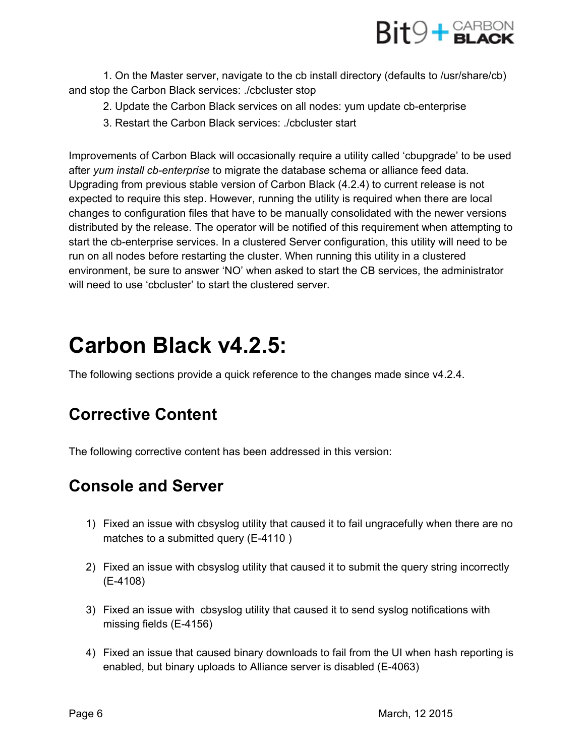

1. On the Master server, navigate to the cb install directory (defaults to /usr/share/cb) and stop the Carbon Black services: ./cbcluster stop

- 2. Update the Carbon Black services on all nodes: yum update cb-enterprise
- 3. Restart the Carbon Black services: ./cbcluster start

Improvements of Carbon Black will occasionally require a utility called 'cbupgrade' to be used after *yum install cbenterprise* to migrate the database schema or alliance feed data. Upgrading from previous stable version of Carbon Black (4.2.4) to current release is not expected to require this step. However, running the utility is required when there are local changes to configuration files that have to be manually consolidated with the newer versions distributed by the release. The operator will be notified of this requirement when attempting to start the cb-enterprise services. In a clustered Server configuration, this utility will need to be run on all nodes before restarting the cluster. When running this utility in a clustered environment, be sure to answer 'NO' when asked to start the CB services, the administrator will need to use 'cbcluster' to start the clustered server.

## **Carbon Black v4.2.5:**

The following sections provide a quick reference to the changes made since v4.2.4.

## **Corrective Content**

The following corrective content has been addressed in this version:

## **Console and Server**

- 1) Fixed an issue with cbsyslog utility that caused it to fail ungracefully when there are no matches to a submitted query  $(E-4110)$
- 2) Fixed an issue with cbsyslog utility that caused it to submit the query string incorrectly (E4108)
- 3) Fixed an issue with cbsyslog utility that caused it to send syslog notifications with missing fields  $(E-4156)$
- 4) Fixed an issue that caused binary downloads to fail from the UI when hash reporting is enabled, but binary uploads to Alliance server is disabled (E-4063)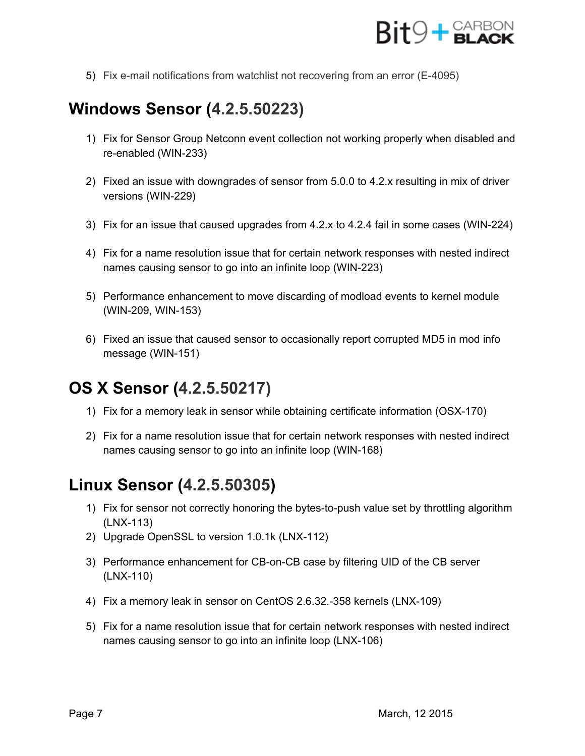

5) Fix e-mail notifications from watchlist not recovering from an error (E-4095)

## **Windows Sensor (4.2.5.50223)**

- 1) Fix for Sensor Group Netconn event collection not working properly when disabled and re-enabled (WIN-233)
- 2) Fixed an issue with downgrades of sensor from 5.0.0 to 4.2.x resulting in mix of driver versions (WIN-229)
- 3) Fix for an issue that caused upgrades from 4.2.x to 4.2.4 fail in some cases (WIN224)
- 4) Fix for a name resolution issue that for certain network responses with nested indirect names causing sensor to go into an infinite loop (WIN-223)
- 5) Performance enhancement to move discarding of modload events to kernel module (WIN-209, WIN-153)
- 6) Fixed an issue that caused sensor to occasionally report corrupted MD5 in mod info message (WIN-151)

## **OS X Sensor (4.2.5.50217)**

- 1) Fix for a memory leak in sensor while obtaining certificate information (OSX-170)
- 2) Fix for a name resolution issue that for certain network responses with nested indirect names causing sensor to go into an infinite loop (WIN-168)

## **Linux Sensor (4.2.5.50305)**

- 1) Fix for sensor not correctly honoring the bytes-to-push value set by throttling algorithm  $(LNX-113)$
- 2) Upgrade OpenSSL to version 1.0.1k (LNX-112)
- 3) Performance enhancement for CB-on-CB case by filtering UID of the CB server (LNX-110)
- 4) Fix a memory leak in sensor on CentOS 2.6.32.-358 kernels (LNX-109)
- 5) Fix for a name resolution issue that for certain network responses with nested indirect names causing sensor to go into an infinite loop (LNX-106)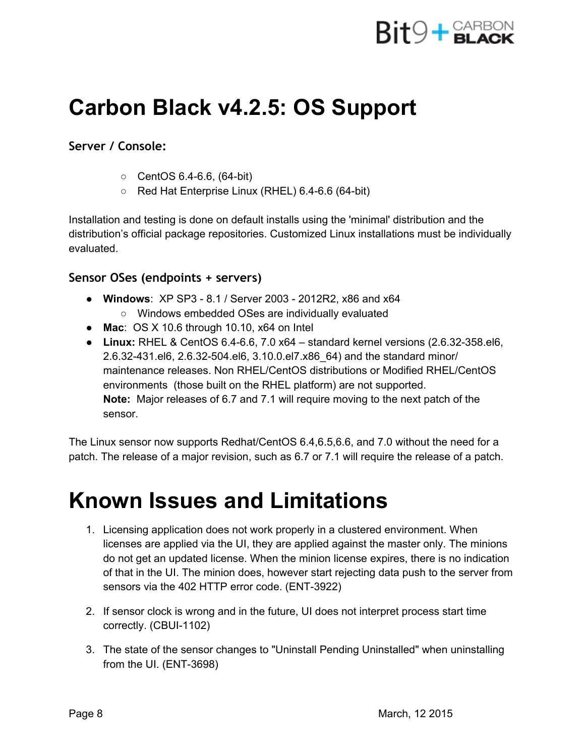

## **Carbon Black v4.2.5: OS Support**

#### **Server / Console:**

- $\circ$  CentOS 6.4-6.6, (64-bit)
- $\circ$  Red Hat Enterprise Linux (RHEL) 6.4-6.6 (64-bit)

Installation and testing is done on default installs using the 'minimal' distribution and the distribution's official package repositories. Customized Linux installations must be individually evaluated.

#### **Sensor OSes (endpoints + servers)**

- Windows: XP SP3 8.1 / Server 2003 2012R2, x86 and x64 ○ Windows embedded OSes are individually evaluated
- **Mac**: OS X 10.6 through 10.10, x64 on Intel
- Linux: RHEL & CentOS 6.4-6.6, 7.0 x64 standard kernel versions (2.6.32-358.el6, 2.6.32-431.el6, 2.6.32-504.el6, 3.10.0.el7.x86\_64) and the standard minor/ maintenance releases. Non RHEL/CentOS distributions or Modified RHEL/CentOS environments (those built on the RHEL platform) are not supported. **Note:** Major releases of 6.7 and 7.1 will require moving to the next patch of the sensor.

The Linux sensor now supports Redhat/CentOS 6.4,6.5,6.6, and 7.0 without the need for a patch. The release of a major revision, such as 6.7 or 7.1 will require the release of a patch.

## **Known Issues and Limitations**

- 1. Licensing application does not work properly in a clustered environment. When licenses are applied via the UI, they are applied against the master only. The minions do not get an updated license. When the minion license expires, there is no indication of that in the UI. The minion does, however start rejecting data push to the server from sensors via the 402 HTTP error code. (ENT-3922)
- 2. If sensor clock is wrong and in the future, UI does not interpret process start time correctly. (CBUI-1102)
- 3. The state of the sensor changes to "Uninstall Pending Uninstalled" when uninstalling from the UI.  $(ENT-3698)$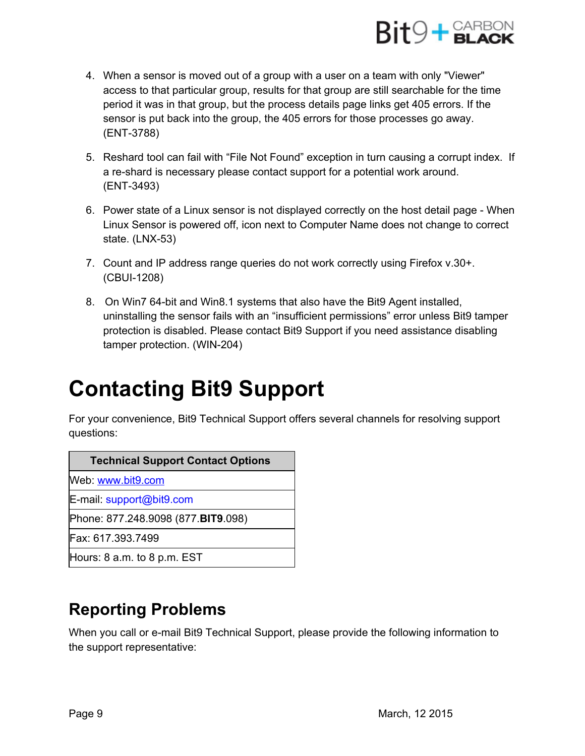

- 4. When a sensor is moved out of a group with a user on a team with only "Viewer" access to that particular group, results for that group are still searchable for the time period it was in that group, but the process details page links get 405 errors. If the sensor is put back into the group, the 405 errors for those processes go away. (ENT-3788)
- 5. Reshard tool can fail with "File Not Found" exception in turn causing a corrupt index. If a re-shard is necessary please contact support for a potential work around. (ENT-3493)
- 6. Power state of a Linux sensor is not displayed correctly on the host detail page When Linux Sensor is powered off, icon next to Computer Name does not change to correct state.  $(LNX-53)$
- 7. Count and IP address range queries do not work correctly using Firefox v.30+. (CBUI-1208)
- 8. On Win7 64-bit and Win8.1 systems that also have the Bit9 Agent installed, uninstalling the sensor fails with an "insufficient permissions" error unless Bit9 tamper protection is disabled. Please contact Bit9 Support if you need assistance disabling tamper protection. (WIN-204)

## **Contacting Bit9 Support**

For your convenience, Bit9 Technical Support offers several channels for resolving support questions:

| <b>Technical Support Contact Options</b> |  |
|------------------------------------------|--|
| Web: www.bit9.com                        |  |
| E-mail: support@bit9.com                 |  |
| Phone: 877.248.9098 (877.BIT9.098)       |  |
| Fax: 617.393.7499                        |  |
| Hours: $8$ a.m. to $8$ p.m. $EST$        |  |

## **Reporting Problems**

When you call or e-mail Bit9 Technical Support, please provide the following information to the support representative: